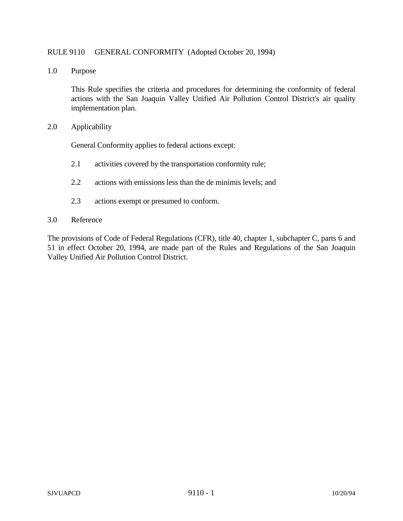## RULE 9110 GENERAL CONFORMITY (Adopted October 20, 1994)

1.0 Purpose

This Rule specifies the criteria and procedures for determining the conformity of federal actions with the San Joaquin Valley Unified Air Pollution Control District's air quality implementation plan.

2.0 Applicability

General Conformity applies to federal actions except:

- 2.1 activities covered by the transportation conformity rule;
- 2.2 actions with emissions less than the de minimis levels; and
- 2.3 actions exempt or presumed to conform.
- 3.0 Reference

The provisions of Code of Federal Regulations (CFR), title 40, chapter 1, subchapter C, parts 6 and 51 in effect October 20, 1994, are made part of the Rules and Regulations of the San Joaquin Valley Unified Air Pollution Control District.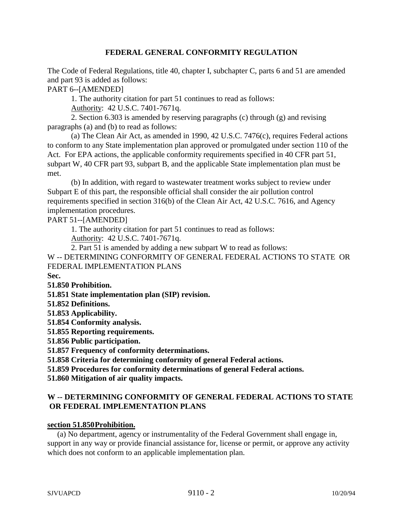# **FEDERAL GENERAL CONFORMITY REGULATION**

The Code of Federal Regulations, title 40, chapter I, subchapter C, parts 6 and 51 are amended and part 93 is added as follows:

PART 6--[AMENDED]

1. The authority citation for part 51 continues to read as follows:

Authority: 42 U.S.C. 7401-7671q.

2. Section 6.303 is amended by reserving paragraphs (c) through (g) and revising paragraphs (a) and (b) to read as follows:

(a) The Clean Air Act, as amended in 1990, 42 U.S.C. 7476(c), requires Federal actions to conform to any State implementation plan approved or promulgated under section 110 of the Act. For EPA actions, the applicable conformity requirements specified in 40 CFR part 51, subpart W, 40 CFR part 93, subpart B, and the applicable State implementation plan must be met.

(b) In addition, with regard to wastewater treatment works subject to review under Subpart E of this part, the responsible official shall consider the air pollution control requirements specified in section 316(b) of the Clean Air Act, 42 U.S.C. 7616, and Agency implementation procedures.

PART 51--[AMENDED]

1. The authority citation for part 51 continues to read as follows:

Authority: 42 U.S.C. 7401-7671q.

2. Part 51 is amended by adding a new subpart W to read as follows:

W -- DETERMINING CONFORMITY OF GENERAL FEDERAL ACTIONS TO STATE OR FEDERAL IMPLEMENTATION PLANS

**Sec.**

**51.850 Prohibition.**

**51.851 State implementation plan (SIP) revision.**

**51.852 Definitions.**

**51.853 Applicability.**

**51.854 Conformity analysis.**

**51.855 Reporting requirements.**

**51.856 Public participation.**

**51.857 Frequency of conformity determinations.**

**51.858 Criteria for determining conformity of general Federal actions.**

**51.859 Procedures for conformity determinations of general Federal actions.**

**51.860 Mitigation of air quality impacts.**

# **W -- DETERMINING CONFORMITY OF GENERAL FEDERAL ACTIONS TO STATE OR FEDERAL IMPLEMENTATION PLANS**

### **section 51.850 Prohibition.**

 (a) No department, agency or instrumentality of the Federal Government shall engage in, support in any way or provide financial assistance for, license or permit, or approve any activity which does not conform to an applicable implementation plan.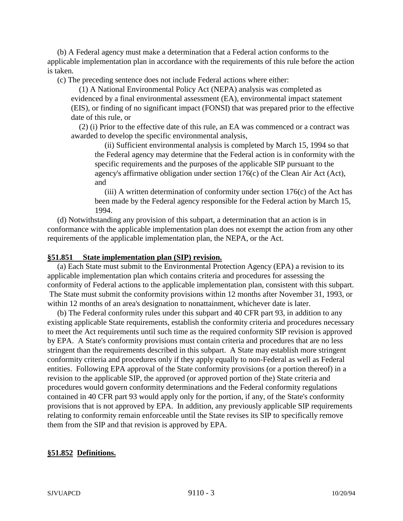(b) A Federal agency must make a determination that a Federal action conforms to the applicable implementation plan in accordance with the requirements of this rule before the action is taken.

(c) The preceding sentence does not include Federal actions where either:

 (1) A National Environmental Policy Act (NEPA) analysis was completed as evidenced by a final environmental assessment (EA), environmental impact statement (EIS), or finding of no significant impact (FONSI) that was prepared prior to the effective date of this rule, or

 (2) (i) Prior to the effective date of this rule, an EA was commenced or a contract was awarded to develop the specific environmental analysis,

 (ii) Sufficient environmental analysis is completed by March 15, 1994 so that the Federal agency may determine that the Federal action is in conformity with the specific requirements and the purposes of the applicable SIP pursuant to the agency's affirmative obligation under section 176(c) of the Clean Air Act (Act), and

(iii) A written determination of conformity under section  $176(c)$  of the Act has been made by the Federal agency responsible for the Federal action by March 15, 1994.

 (d) Notwithstanding any provision of this subpart, a determination that an action is in conformance with the applicable implementation plan does not exempt the action from any other requirements of the applicable implementation plan, the NEPA, or the Act.

#### **§51.851 State implementation plan (SIP) revision.**

 (a) Each State must submit to the Environmental Protection Agency (EPA) a revision to its applicable implementation plan which contains criteria and procedures for assessing the conformity of Federal actions to the applicable implementation plan, consistent with this subpart. The State must submit the conformity provisions within 12 months after November 31, 1993, or within 12 months of an area's designation to nonattainment, whichever date is later.

 (b) The Federal conformity rules under this subpart and 40 CFR part 93, in addition to any existing applicable State requirements, establish the conformity criteria and procedures necessary to meet the Act requirements until such time as the required conformity SIP revision is approved by EPA. A State's conformity provisions must contain criteria and procedures that are no less stringent than the requirements described in this subpart. A State may establish more stringent conformity criteria and procedures only if they apply equally to non-Federal as well as Federal entities. Following EPA approval of the State conformity provisions (or a portion thereof) in a revision to the applicable SIP, the approved (or approved portion of the) State criteria and procedures would govern conformity determinations and the Federal conformity regulations contained in 40 CFR part 93 would apply only for the portion, if any, of the State's conformity provisions that is not approved by EPA. In addition, any previously applicable SIP requirements relating to conformity remain enforceable until the State revises its SIP to specifically remove them from the SIP and that revision is approved by EPA.

### **§51.852 Definitions.**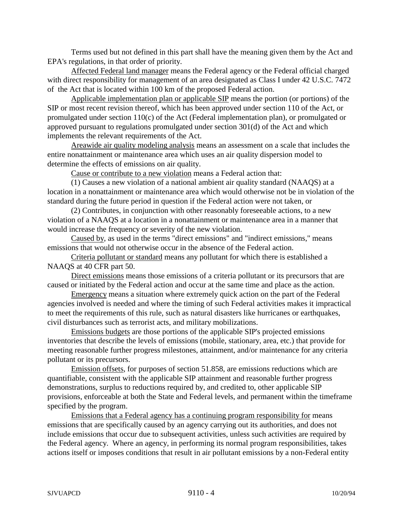Terms used but not defined in this part shall have the meaning given them by the Act and EPA's regulations, in that order of priority.

 Affected Federal land manager means the Federal agency or the Federal official charged with direct responsibility for management of an area designated as Class I under 42 U.S.C. 7472 of the Act that is located within 100 km of the proposed Federal action.

Applicable implementation plan or applicable SIP means the portion (or portions) of the SIP or most recent revision thereof, which has been approved under section 110 of the Act, or promulgated under section 110(c) of the Act (Federal implementation plan), or promulgated or approved pursuant to regulations promulgated under section 301(d) of the Act and which implements the relevant requirements of the Act.

Areawide air quality modeling analysis means an assessment on a scale that includes the entire nonattainment or maintenance area which uses an air quality dispersion model to determine the effects of emissions on air quality.

Cause or contribute to a new violation means a Federal action that:

(1) Causes a new violation of a national ambient air quality standard (NAAQS) at a location in a nonattainment or maintenance area which would otherwise not be in violation of the standard during the future period in question if the Federal action were not taken, or

(2) Contributes, in conjunction with other reasonably foreseeable actions, to a new violation of a NAAQS at a location in a nonattainment or maintenance area in a manner that would increase the frequency or severity of the new violation.

 Caused by, as used in the terms "direct emissions" and "indirect emissions," means emissions that would not otherwise occur in the absence of the Federal action.

Criteria pollutant or standard means any pollutant for which there is established a NAAQS at 40 CFR part 50.

Direct emissions means those emissions of a criteria pollutant or its precursors that are caused or initiated by the Federal action and occur at the same time and place as the action.

Emergency means a situation where extremely quick action on the part of the Federal agencies involved is needed and where the timing of such Federal activities makes it impractical to meet the requirements of this rule, such as natural disasters like hurricanes or earthquakes, civil disturbances such as terrorist acts, and military mobilizations.

Emissions budgets are those portions of the applicable SIP's projected emissions inventories that describe the levels of emissions (mobile, stationary, area, etc.) that provide for meeting reasonable further progress milestones, attainment, and/or maintenance for any criteria pollutant or its precursors.

Emission offsets, for purposes of section 51.858, are emissions reductions which are quantifiable, consistent with the applicable SIP attainment and reasonable further progress demonstrations, surplus to reductions required by, and credited to, other applicable SIP provisions, enforceable at both the State and Federal levels, and permanent within the timeframe specified by the program.

Emissions that a Federal agency has a continuing program responsibility for means emissions that are specifically caused by an agency carrying out its authorities, and does not include emissions that occur due to subsequent activities, unless such activities are required by the Federal agency. Where an agency, in performing its normal program responsibilities, takes actions itself or imposes conditions that result in air pollutant emissions by a non-Federal entity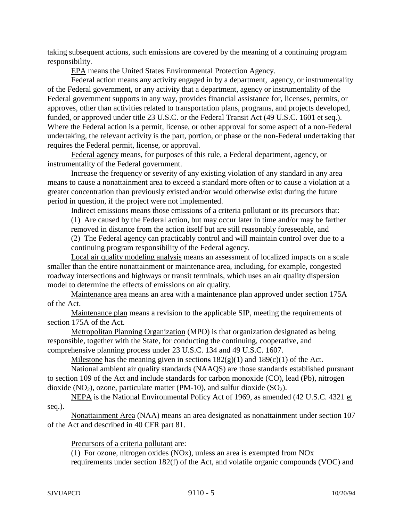taking subsequent actions, such emissions are covered by the meaning of a continuing program responsibility.

EPA means the United States Environmental Protection Agency.

Federal action means any activity engaged in by a department, agency, or instrumentality of the Federal government, or any activity that a department, agency or instrumentality of the Federal government supports in any way, provides financial assistance for, licenses, permits, or approves, other than activities related to transportation plans, programs, and projects developed, funded, or approved under title 23 U.S.C. or the Federal Transit Act (49 U.S.C. 1601 et seq.). Where the Federal action is a permit, license, or other approval for some aspect of a non-Federal undertaking, the relevant activity is the part, portion, or phase or the non-Federal undertaking that requires the Federal permit, license, or approval.

Federal agency means, for purposes of this rule, a Federal department, agency, or instrumentality of the Federal government.

Increase the frequency or severity of any existing violation of any standard in any area means to cause a nonattainment area to exceed a standard more often or to cause a violation at a greater concentration than previously existed and/or would otherwise exist during the future period in question, if the project were not implemented.

Indirect emissions means those emissions of a criteria pollutant or its precursors that:

(1) Are caused by the Federal action, but may occur later in time and/or may be farther removed in distance from the action itself but are still reasonably foreseeable, and

(2) The Federal agency can practicably control and will maintain control over due to a continuing program responsibility of the Federal agency.

Local air quality modeling analysis means an assessment of localized impacts on a scale smaller than the entire nonattainment or maintenance area, including, for example, congested roadway intersections and highways or transit terminals, which uses an air quality dispersion model to determine the effects of emissions on air quality.

Maintenance area means an area with a maintenance plan approved under section 175A of the Act.

Maintenance plan means a revision to the applicable SIP, meeting the requirements of section 175A of the Act.

Metropolitan Planning Organization (MPO) is that organization designated as being responsible, together with the State, for conducting the continuing, cooperative, and comprehensive planning process under 23 U.S.C. 134 and 49 U.S.C. 1607.

Milestone has the meaning given in sections  $182(g)(1)$  and  $189(c)(1)$  of the Act.

National ambient air quality standards (NAAQS) are those standards established pursuant to section 109 of the Act and include standards for carbon monoxide (CO), lead (Pb), nitrogen dioxide (NO<sub>2</sub>), ozone, particulate matter (PM-10), and sulfur dioxide (SO<sub>2</sub>).

NEPA is the National Environmental Policy Act of 1969, as amended (42 U.S.C. 4321 et seq.).

Nonattainment Area (NAA) means an area designated as nonattainment under section 107 of the Act and described in 40 CFR part 81.

Precursors of a criteria pollutant are:

(1) For ozone, nitrogen oxides (NOx), unless an area is exempted from NOx requirements under section 182(f) of the Act, and volatile organic compounds (VOC) and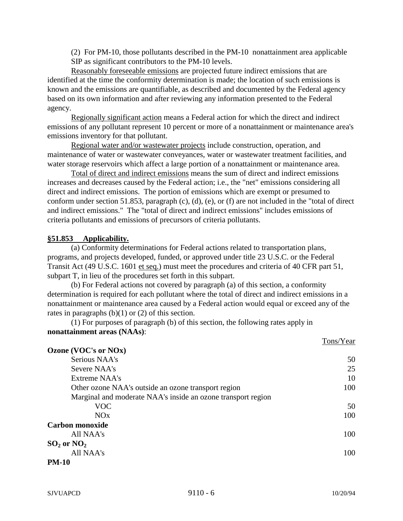(2) For PM-10, those pollutants described in the PM-10 nonattainment area applicable SIP as significant contributors to the PM-10 levels.

Reasonably foreseeable emissions are projected future indirect emissions that are identified at the time the conformity determination is made; the location of such emissions is known and the emissions are quantifiable, as described and documented by the Federal agency based on its own information and after reviewing any information presented to the Federal agency.

Regionally significant action means a Federal action for which the direct and indirect emissions of any pollutant represent 10 percent or more of a nonattainment or maintenance area's emissions inventory for that pollutant.

Regional water and/or wastewater projects include construction, operation, and maintenance of water or wastewater conveyances, water or wastewater treatment facilities, and water storage reservoirs which affect a large portion of a nonattainment or maintenance area.

Total of direct and indirect emissions means the sum of direct and indirect emissions increases and decreases caused by the Federal action; i.e., the "net" emissions considering all direct and indirect emissions. The portion of emissions which are exempt or presumed to conform under section 51.853, paragraph (c), (d), (e), or (f) are not included in the "total of direct and indirect emissions." The "total of direct and indirect emissions" includes emissions of criteria pollutants and emissions of precursors of criteria pollutants.

# **§51.853 Applicability.**

(a) Conformity determinations for Federal actions related to transportation plans, programs, and projects developed, funded, or approved under title 23 U.S.C. or the Federal Transit Act (49 U.S.C. 1601 et seq.) must meet the procedures and criteria of 40 CFR part 51, subpart T, in lieu of the procedures set forth in this subpart.

(b) For Federal actions not covered by paragraph (a) of this section, a conformity determination is required for each pollutant where the total of direct and indirect emissions in a nonattainment or maintenance area caused by a Federal action would equal or exceed any of the rates in paragraphs  $(b)(1)$  or  $(2)$  of this section.

(1) For purposes of paragraph (b) of this section, the following rates apply in **nonattainment areas (NAAs)**:

|                                                              | TOIIS/I eal |
|--------------------------------------------------------------|-------------|
| Ozone (VOC's or NOx)                                         |             |
| Serious NAA's                                                | 50          |
| Severe NAA's                                                 | 25          |
| <b>Extreme NAA's</b>                                         | 10          |
| Other ozone NAA's outside an ozone transport region          | 100         |
| Marginal and moderate NAA's inside an ozone transport region |             |
| <b>VOC</b>                                                   | 50          |
| NOx                                                          | 100         |
| <b>Carbon monoxide</b>                                       |             |
| All NAA's                                                    | 100         |
| $SO_2$ or $NO_2$                                             |             |
| All NAA's                                                    | 100         |
| <b>PM-10</b>                                                 |             |

 $T_{\text{max}}/V_{\text{max}}$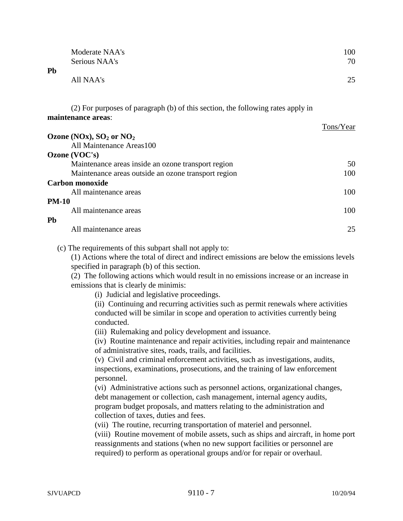|              | Moderate NAA's                                                                  | 100       |
|--------------|---------------------------------------------------------------------------------|-----------|
|              | Serious NAA's                                                                   | 70        |
| <b>Pb</b>    |                                                                                 |           |
|              | All NAA's                                                                       | 25        |
|              | (2) For purposes of paragraph (b) of this section, the following rates apply in |           |
|              | maintenance areas:                                                              |           |
|              |                                                                                 | Tons/Year |
|              | Ozone (NOx), $SO_2$ or $NO_2$                                                   |           |
|              | All Maintenance Areas100                                                        |           |
|              | Ozone (VOC's)                                                                   |           |
|              | Maintenance areas inside an ozone transport region                              | 50        |
|              | Maintenance areas outside an ozone transport region                             | 100       |
|              | <b>Carbon monoxide</b>                                                          |           |
|              | All maintenance areas                                                           | 100       |
| <b>PM-10</b> |                                                                                 |           |
|              | All maintenance areas                                                           | 100       |
| Pb           |                                                                                 |           |
|              | All maintenance areas                                                           | 25        |

(c) The requirements of this subpart shall not apply to:

(1) Actions where the total of direct and indirect emissions are below the emissions levels specified in paragraph (b) of this section.

(2) The following actions which would result in no emissions increase or an increase in emissions that is clearly de minimis:

(i) Judicial and legislative proceedings.

(ii) Continuing and recurring activities such as permit renewals where activities conducted will be similar in scope and operation to activities currently being conducted.

(iii) Rulemaking and policy development and issuance.

(iv) Routine maintenance and repair activities, including repair and maintenance of administrative sites, roads, trails, and facilities.

(v) Civil and criminal enforcement activities, such as investigations, audits, inspections, examinations, prosecutions, and the training of law enforcement personnel.

(vi) Administrative actions such as personnel actions, organizational changes, debt management or collection, cash management, internal agency audits, program budget proposals, and matters relating to the administration and collection of taxes, duties and fees.

(vii) The routine, recurring transportation of materiel and personnel.

(viii) Routine movement of mobile assets, such as ships and aircraft, in home port reassignments and stations (when no new support facilities or personnel are required) to perform as operational groups and/or for repair or overhaul.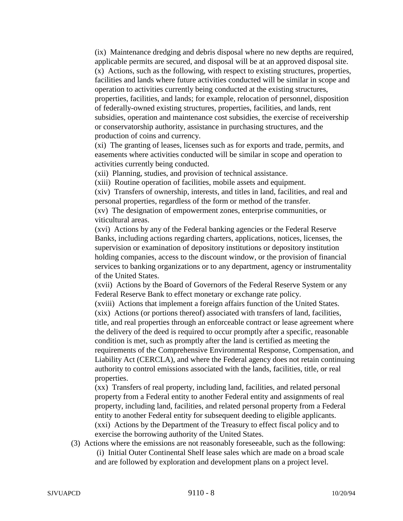(ix) Maintenance dredging and debris disposal where no new depths are required, applicable permits are secured, and disposal will be at an approved disposal site. (x) Actions, such as the following, with respect to existing structures, properties, facilities and lands where future activities conducted will be similar in scope and operation to activities currently being conducted at the existing structures, properties, facilities, and lands; for example, relocation of personnel, disposition of federally-owned existing structures, properties, facilities, and lands, rent subsidies, operation and maintenance cost subsidies, the exercise of receivership or conservatorship authority, assistance in purchasing structures, and the production of coins and currency.

(xi) The granting of leases, licenses such as for exports and trade, permits, and easements where activities conducted will be similar in scope and operation to activities currently being conducted.

(xii) Planning, studies, and provision of technical assistance.

(xiii) Routine operation of facilities, mobile assets and equipment.

(xiv) Transfers of ownership, interests, and titles in land, facilities, and real and personal properties, regardless of the form or method of the transfer.

(xv) The designation of empowerment zones, enterprise communities, or viticultural areas.

(xvi) Actions by any of the Federal banking agencies or the Federal Reserve Banks, including actions regarding charters, applications, notices, licenses, the supervision or examination of depository institutions or depository institution holding companies, access to the discount window, or the provision of financial services to banking organizations or to any department, agency or instrumentality of the United States.

(xvii) Actions by the Board of Governors of the Federal Reserve System or any Federal Reserve Bank to effect monetary or exchange rate policy.

(xviii) Actions that implement a foreign affairs function of the United States. (xix) Actions (or portions thereof) associated with transfers of land, facilities, title, and real properties through an enforceable contract or lease agreement where the delivery of the deed is required to occur promptly after a specific, reasonable condition is met, such as promptly after the land is certified as meeting the requirements of the Comprehensive Environmental Response, Compensation, and Liability Act (CERCLA), and where the Federal agency does not retain continuing authority to control emissions associated with the lands, facilities, title, or real properties.

(xx) Transfers of real property, including land, facilities, and related personal property from a Federal entity to another Federal entity and assignments of real property, including land, facilities, and related personal property from a Federal entity to another Federal entity for subsequent deeding to eligible applicants. (xxi) Actions by the Department of the Treasury to effect fiscal policy and to exercise the borrowing authority of the United States.

(3) Actions where the emissions are not reasonably foreseeable, such as the following: (i) Initial Outer Continental Shelf lease sales which are made on a broad scale and are followed by exploration and development plans on a project level.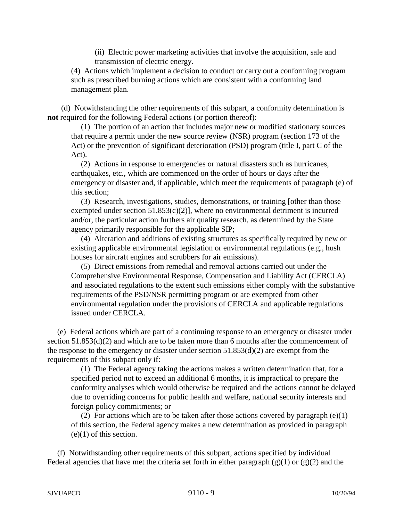(ii) Electric power marketing activities that involve the acquisition, sale and transmission of electric energy.

 (4) Actions which implement a decision to conduct or carry out a conforming program such as prescribed burning actions which are consistent with a conforming land management plan.

 (d) Notwithstanding the other requirements of this subpart, a conformity determination is **not** required for the following Federal actions (or portion thereof):

 (1) The portion of an action that includes major new or modified stationary sources that require a permit under the new source review (NSR) program (section 173 of the Act) or the prevention of significant deterioration (PSD) program (title I, part C of the Act).

 (2) Actions in response to emergencies or natural disasters such as hurricanes, earthquakes, etc., which are commenced on the order of hours or days after the emergency or disaster and, if applicable, which meet the requirements of paragraph (e) of this section;

 (3) Research, investigations, studies, demonstrations, or training [other than those exempted under section  $51.853(c)(2)$ ], where no environmental detriment is incurred and/or, the particular action furthers air quality research, as determined by the State agency primarily responsible for the applicable SIP;

 (4) Alteration and additions of existing structures as specifically required by new or existing applicable environmental legislation or environmental regulations (e.g., hush houses for aircraft engines and scrubbers for air emissions).

 (5) Direct emissions from remedial and removal actions carried out under the Comprehensive Environmental Response, Compensation and Liability Act (CERCLA) and associated regulations to the extent such emissions either comply with the substantive requirements of the PSD/NSR permitting program or are exempted from other environmental regulation under the provisions of CERCLA and applicable regulations issued under CERCLA.

 (e) Federal actions which are part of a continuing response to an emergency or disaster under section 51.853(d)(2) and which are to be taken more than 6 months after the commencement of the response to the emergency or disaster under section 51.853(d)(2) are exempt from the requirements of this subpart only if:

 (1) The Federal agency taking the actions makes a written determination that, for a specified period not to exceed an additional 6 months, it is impractical to prepare the conformity analyses which would otherwise be required and the actions cannot be delayed due to overriding concerns for public health and welfare, national security interests and foreign policy commitments; or

(2) For actions which are to be taken after those actions covered by paragraph  $(e)(1)$ of this section, the Federal agency makes a new determination as provided in paragraph (e)(1) of this section.

 (f) Notwithstanding other requirements of this subpart, actions specified by individual Federal agencies that have met the criteria set forth in either paragraph  $(g)(1)$  or  $(g)(2)$  and the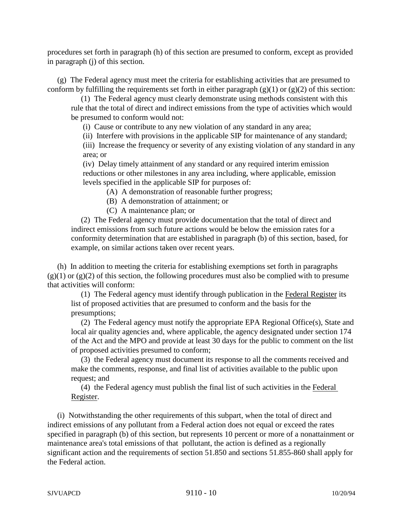procedures set forth in paragraph (h) of this section are presumed to conform, except as provided in paragraph (j) of this section.

 (g) The Federal agency must meet the criteria for establishing activities that are presumed to conform by fulfilling the requirements set forth in either paragraph  $(g)(1)$  or  $(g)(2)$  of this section:

 (1) The Federal agency must clearly demonstrate using methods consistent with this rule that the total of direct and indirect emissions from the type of activities which would be presumed to conform would not:

(i) Cause or contribute to any new violation of any standard in any area;

(ii) Interfere with provisions in the applicable SIP for maintenance of any standard;

(iii) Increase the frequency or severity of any existing violation of any standard in any area; or

(iv) Delay timely attainment of any standard or any required interim emission reductions or other milestones in any area including, where applicable, emission levels specified in the applicable SIP for purposes of:

(A) A demonstration of reasonable further progress;

(B) A demonstration of attainment; or

(C) A maintenance plan; or

 (2) The Federal agency must provide documentation that the total of direct and indirect emissions from such future actions would be below the emission rates for a conformity determination that are established in paragraph (b) of this section, based, for example, on similar actions taken over recent years.

 (h) In addition to meeting the criteria for establishing exemptions set forth in paragraphs  $(g)(1)$  or  $(g)(2)$  of this section, the following procedures must also be complied with to presume that activities will conform:

 (1) The Federal agency must identify through publication in the Federal Register its list of proposed activities that are presumed to conform and the basis for the presumptions;

 (2) The Federal agency must notify the appropriate EPA Regional Office(s), State and local air quality agencies and, where applicable, the agency designated under section 174 of the Act and the MPO and provide at least 30 days for the public to comment on the list of proposed activities presumed to conform;

 (3) the Federal agency must document its response to all the comments received and make the comments, response, and final list of activities available to the public upon request; and

 (4) the Federal agency must publish the final list of such activities in the Federal Register.

 (i) Notwithstanding the other requirements of this subpart, when the total of direct and indirect emissions of any pollutant from a Federal action does not equal or exceed the rates specified in paragraph (b) of this section, but represents 10 percent or more of a nonattainment or maintenance area's total emissions of that pollutant, the action is defined as a regionally significant action and the requirements of section 51.850 and sections 51.855-860 shall apply for the Federal action.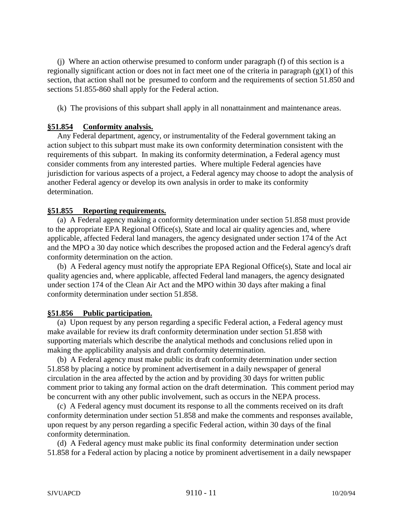(j) Where an action otherwise presumed to conform under paragraph (f) of this section is a regionally significant action or does not in fact meet one of the criteria in paragraph  $(g)(1)$  of this section, that action shall not be presumed to conform and the requirements of section 51.850 and sections 51.855-860 shall apply for the Federal action.

(k) The provisions of this subpart shall apply in all nonattainment and maintenance areas.

# **§51.854 Conformity analysis.**

 Any Federal department, agency, or instrumentality of the Federal government taking an action subject to this subpart must make its own conformity determination consistent with the requirements of this subpart. In making its conformity determination, a Federal agency must consider comments from any interested parties. Where multiple Federal agencies have jurisdiction for various aspects of a project, a Federal agency may choose to adopt the analysis of another Federal agency or develop its own analysis in order to make its conformity determination.

# **§51.855 Reporting requirements.**

 (a) A Federal agency making a conformity determination under section 51.858 must provide to the appropriate EPA Regional Office(s), State and local air quality agencies and, where applicable, affected Federal land managers, the agency designated under section 174 of the Act and the MPO a 30 day notice which describes the proposed action and the Federal agency's draft conformity determination on the action.

 (b) A Federal agency must notify the appropriate EPA Regional Office(s), State and local air quality agencies and, where applicable, affected Federal land managers, the agency designated under section 174 of the Clean Air Act and the MPO within 30 days after making a final conformity determination under section 51.858.

### **§51.856 Public participation.**

 (a) Upon request by any person regarding a specific Federal action, a Federal agency must make available for review its draft conformity determination under section 51.858 with supporting materials which describe the analytical methods and conclusions relied upon in making the applicability analysis and draft conformity determination.

 (b) A Federal agency must make public its draft conformity determination under section 51.858 by placing a notice by prominent advertisement in a daily newspaper of general circulation in the area affected by the action and by providing 30 days for written public comment prior to taking any formal action on the draft determination. This comment period may be concurrent with any other public involvement, such as occurs in the NEPA process.

 (c) A Federal agency must document its response to all the comments received on its draft conformity determination under section 51.858 and make the comments and responses available, upon request by any person regarding a specific Federal action, within 30 days of the final conformity determination.

 (d) A Federal agency must make public its final conformity determination under section 51.858 for a Federal action by placing a notice by prominent advertisement in a daily newspaper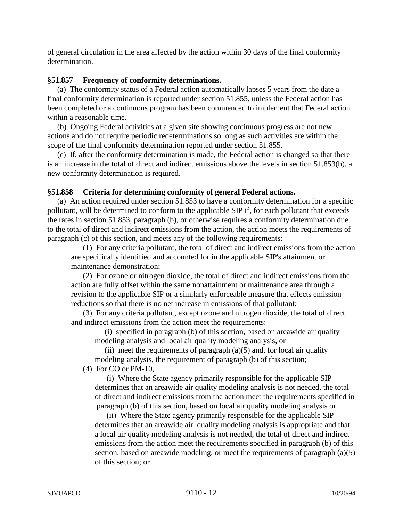of general circulation in the area affected by the action within 30 days of the final conformity determination.

# **§51.857 Frequency of conformity determinations.**

 (a) The conformity status of a Federal action automatically lapses 5 years from the date a final conformity determination is reported under section 51.855, unless the Federal action has been completed or a continuous program has been commenced to implement that Federal action within a reasonable time.

 (b) Ongoing Federal activities at a given site showing continuous progress are not new actions and do not require periodic redeterminations so long as such activities are within the scope of the final conformity determination reported under section 51.855.

 (c) If, after the conformity determination is made, the Federal action is changed so that there is an increase in the total of direct and indirect emissions above the levels in section 51.853(b), a new conformity determination is required.

# **§51.858 Criteria for determining conformity of general Federal actions.**

 (a) An action required under section 51.853 to have a conformity determination for a specific pollutant, will be determined to conform to the applicable SIP if, for each pollutant that exceeds the rates in section 51.853, paragraph (b), or otherwise requires a conformity determination due to the total of direct and indirect emissions from the action, the action meets the requirements of paragraph (c) of this section, and meets any of the following requirements:

(1) For any criteria pollutant, the total of direct and indirect emissions from the action are specifically identified and accounted for in the applicable SIP's attainment or maintenance demonstration;

(2) For ozone or nitrogen dioxide, the total of direct and indirect emissions from the action are fully offset within the same nonattainment or maintenance area through a revision to the applicable SIP or a similarly enforceable measure that effects emission reductions so that there is no net increase in emissions of that pollutant;

(3) For any criteria pollutant, except ozone and nitrogen dioxide, the total of direct and indirect emissions from the action meet the requirements:

 (i) specified in paragraph (b) of this section, based on areawide air quality modeling analysis and local air quality modeling analysis, or

(ii) meet the requirements of paragraph  $(a)(5)$  and, for local air quality modeling analysis, the requirement of paragraph (b) of this section;

(4) For CO or PM-10,

(i) Where the State agency primarily responsible for the applicable SIP determines that an areawide air quality modeling analysis is not needed, the total of direct and indirect emissions from the action meet the requirements specified in paragraph (b) of this section, based on local air quality modeling analysis or

(ii) Where the State agency primarily responsible for the applicable SIP determines that an areawide air quality modeling analysis is appropriate and that a local air quality modeling analysis is not needed, the total of direct and indirect emissions from the action meet the requirements specified in paragraph (b) of this section, based on areawide modeling, or meet the requirements of paragraph (a)(5) of this section; or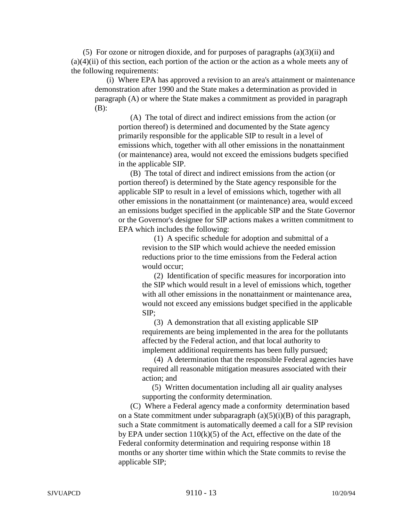(5) For ozone or nitrogen dioxide, and for purposes of paragraphs (a)(3)(ii) and  $(a)(4)(ii)$  of this section, each portion of the action or the action as a whole meets any of the following requirements:

(i) Where EPA has approved a revision to an area's attainment or maintenance demonstration after 1990 and the State makes a determination as provided in paragraph (A) or where the State makes a commitment as provided in paragraph (B):

(A) The total of direct and indirect emissions from the action (or portion thereof) is determined and documented by the State agency primarily responsible for the applicable SIP to result in a level of emissions which, together with all other emissions in the nonattainment (or maintenance) area, would not exceed the emissions budgets specified in the applicable SIP.

(B) The total of direct and indirect emissions from the action (or portion thereof) is determined by the State agency responsible for the applicable SIP to result in a level of emissions which, together with all other emissions in the nonattainment (or maintenance) area, would exceed an emissions budget specified in the applicable SIP and the State Governor or the Governor's designee for SIP actions makes a written commitment to EPA which includes the following:

(1) A specific schedule for adoption and submittal of a revision to the SIP which would achieve the needed emission reductions prior to the time emissions from the Federal action would occur;

(2) Identification of specific measures for incorporation into the SIP which would result in a level of emissions which, together with all other emissions in the nonattainment or maintenance area, would not exceed any emissions budget specified in the applicable SIP;

(3) A demonstration that all existing applicable SIP requirements are being implemented in the area for the pollutants affected by the Federal action, and that local authority to implement additional requirements has been fully pursued;

(4) A determination that the responsible Federal agencies have required all reasonable mitigation measures associated with their action; and

 (5) Written documentation including all air quality analyses supporting the conformity determination.

(C) Where a Federal agency made a conformity determination based on a State commitment under subparagraph  $(a)(5)(i)(B)$  of this paragraph, such a State commitment is automatically deemed a call for a SIP revision by EPA under section  $110(k)(5)$  of the Act, effective on the date of the Federal conformity determination and requiring response within 18 months or any shorter time within which the State commits to revise the applicable SIP;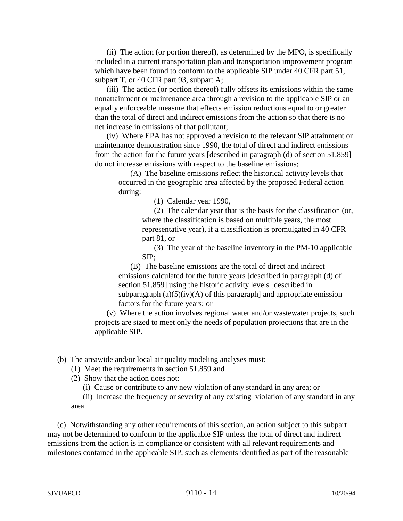(ii) The action (or portion thereof), as determined by the MPO, is specifically included in a current transportation plan and transportation improvement program which have been found to conform to the applicable SIP under 40 CFR part 51, subpart T, or 40 CFR part 93, subpart A;

(iii) The action (or portion thereof) fully offsets its emissions within the same nonattainment or maintenance area through a revision to the applicable SIP or an equally enforceable measure that effects emission reductions equal to or greater than the total of direct and indirect emissions from the action so that there is no net increase in emissions of that pollutant;

(iv) Where EPA has not approved a revision to the relevant SIP attainment or maintenance demonstration since 1990, the total of direct and indirect emissions from the action for the future years [described in paragraph (d) of section 51.859] do not increase emissions with respect to the baseline emissions;

(A) The baseline emissions reflect the historical activity levels that occurred in the geographic area affected by the proposed Federal action during:

(1) Calendar year 1990,

(2) The calendar year that is the basis for the classification (or, where the classification is based on multiple years, the most representative year), if a classification is promulgated in 40 CFR part 81, or

(3) The year of the baseline inventory in the PM-10 applicable SIP;

(B) The baseline emissions are the total of direct and indirect emissions calculated for the future years [described in paragraph (d) of section 51.859] using the historic activity levels [described in subparagraph  $(a)(5)(iv)(A)$  of this paragraph] and appropriate emission factors for the future years; or

(v) Where the action involves regional water and/or wastewater projects, such projects are sized to meet only the needs of population projections that are in the applicable SIP.

(b) The areawide and/or local air quality modeling analyses must:

- (1) Meet the requirements in section 51.859 and
- (2) Show that the action does not:

(i) Cause or contribute to any new violation of any standard in any area; or

(ii) Increase the frequency or severity of any existing violation of any standard in any area.

 (c) Notwithstanding any other requirements of this section, an action subject to this subpart may not be determined to conform to the applicable SIP unless the total of direct and indirect emissions from the action is in compliance or consistent with all relevant requirements and milestones contained in the applicable SIP, such as elements identified as part of the reasonable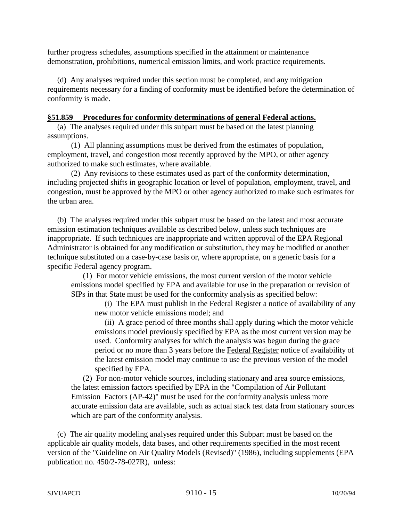further progress schedules, assumptions specified in the attainment or maintenance demonstration, prohibitions, numerical emission limits, and work practice requirements.

 (d) Any analyses required under this section must be completed, and any mitigation requirements necessary for a finding of conformity must be identified before the determination of conformity is made.

## **§51.859 Procedures for conformity determinations of general Federal actions.**

 (a) The analyses required under this subpart must be based on the latest planning assumptions.

(1) All planning assumptions must be derived from the estimates of population, employment, travel, and congestion most recently approved by the MPO, or other agency authorized to make such estimates, where available.

(2) Any revisions to these estimates used as part of the conformity determination, including projected shifts in geographic location or level of population, employment, travel, and congestion, must be approved by the MPO or other agency authorized to make such estimates for the urban area.

 (b) The analyses required under this subpart must be based on the latest and most accurate emission estimation techniques available as described below, unless such techniques are inappropriate. If such techniques are inappropriate and written approval of the EPA Regional Administrator is obtained for any modification or substitution, they may be modified or another technique substituted on a case-by-case basis or, where appropriate, on a generic basis for a specific Federal agency program.

(1) For motor vehicle emissions, the most current version of the motor vehicle emissions model specified by EPA and available for use in the preparation or revision of SIPs in that State must be used for the conformity analysis as specified below:

 (i) The EPA must publish in the Federal Register a notice of availability of any new motor vehicle emissions model; and

 (ii) A grace period of three months shall apply during which the motor vehicle emissions model previously specified by EPA as the most current version may be used. Conformity analyses for which the analysis was begun during the grace period or no more than 3 years before the Federal Register notice of availability of the latest emission model may continue to use the previous version of the model specified by EPA.

(2) For non-motor vehicle sources, including stationary and area source emissions, the latest emission factors specified by EPA in the "Compilation of Air Pollutant Emission Factors (AP-42)" must be used for the conformity analysis unless more accurate emission data are available, such as actual stack test data from stationary sources which are part of the conformity analysis.

 (c) The air quality modeling analyses required under this Subpart must be based on the applicable air quality models, data bases, and other requirements specified in the most recent version of the "Guideline on Air Quality Models (Revised)" (1986), including supplements (EPA publication no. 450/2-78-027R), unless: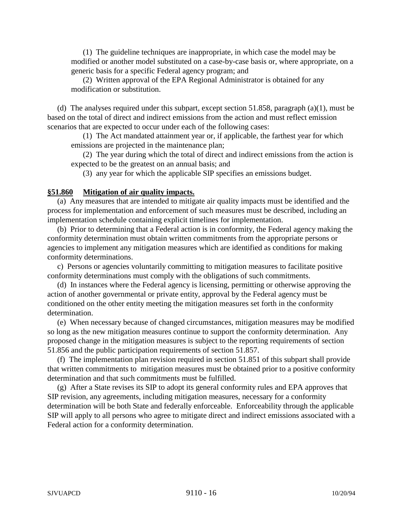(1) The guideline techniques are inappropriate, in which case the model may be modified or another model substituted on a case-by-case basis or, where appropriate, on a generic basis for a specific Federal agency program; and

(2) Written approval of the EPA Regional Administrator is obtained for any modification or substitution.

 (d) The analyses required under this subpart, except section 51.858, paragraph (a)(1), must be based on the total of direct and indirect emissions from the action and must reflect emission scenarios that are expected to occur under each of the following cases:

(1) The Act mandated attainment year or, if applicable, the farthest year for which emissions are projected in the maintenance plan;

(2) The year during which the total of direct and indirect emissions from the action is expected to be the greatest on an annual basis; and

(3) any year for which the applicable SIP specifies an emissions budget.

## **§51.860 Mitigation of air quality impacts.**

 (a) Any measures that are intended to mitigate air quality impacts must be identified and the process for implementation and enforcement of such measures must be described, including an implementation schedule containing explicit timelines for implementation.

 (b) Prior to determining that a Federal action is in conformity, the Federal agency making the conformity determination must obtain written commitments from the appropriate persons or agencies to implement any mitigation measures which are identified as conditions for making conformity determinations.

 c) Persons or agencies voluntarily committing to mitigation measures to facilitate positive conformity determinations must comply with the obligations of such commitments.

 (d) In instances where the Federal agency is licensing, permitting or otherwise approving the action of another governmental or private entity, approval by the Federal agency must be conditioned on the other entity meeting the mitigation measures set forth in the conformity determination.

 (e) When necessary because of changed circumstances, mitigation measures may be modified so long as the new mitigation measures continue to support the conformity determination. Any proposed change in the mitigation measures is subject to the reporting requirements of section 51.856 and the public participation requirements of section 51.857.

 (f) The implementation plan revision required in section 51.851 of this subpart shall provide that written commitments to mitigation measures must be obtained prior to a positive conformity determination and that such commitments must be fulfilled.

 (g) After a State revises its SIP to adopt its general conformity rules and EPA approves that SIP revision, any agreements, including mitigation measures, necessary for a conformity determination will be both State and federally enforceable. Enforceability through the applicable SIP will apply to all persons who agree to mitigate direct and indirect emissions associated with a Federal action for a conformity determination.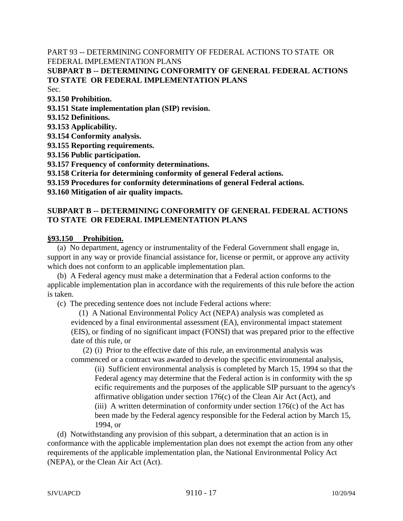PART 93 -- DETERMINING CONFORMITY OF FEDERAL ACTIONS TO STATE OR FEDERAL IMPLEMENTATION PLANS **SUBPART B -- DETERMINING CONFORMITY OF GENERAL FEDERAL ACTIONS TO STATE OR FEDERAL IMPLEMENTATION PLANS** Sec.

**93.150 Prohibition.**

**93.151 State implementation plan (SIP) revision.**

- **93.152 Definitions.**
- **93.153 Applicability.**

**93.154 Conformity analysis.**

**93.155 Reporting requirements.**

**93.156 Public participation.**

**93.157 Frequency of conformity determinations.**

**93.158 Criteria for determining conformity of general Federal actions.**

**93.159 Procedures for conformity determinations of general Federal actions.**

**93.160 Mitigation of air quality impacts.**

# **SUBPART B -- DETERMINING CONFORMITY OF GENERAL FEDERAL ACTIONS TO STATE OR FEDERAL IMPLEMENTATION PLANS**

#### **§93.150 Prohibition.**

 (a) No department, agency or instrumentality of the Federal Government shall engage in, support in any way or provide financial assistance for, license or permit, or approve any activity which does not conform to an applicable implementation plan.

 (b) A Federal agency must make a determination that a Federal action conforms to the applicable implementation plan in accordance with the requirements of this rule before the action is taken.

(c) The preceding sentence does not include Federal actions where:

 (1) A National Environmental Policy Act (NEPA) analysis was completed as evidenced by a final environmental assessment (EA), environmental impact statement (EIS), or finding of no significant impact (FONSI) that was prepared prior to the effective date of this rule, or

(2) (i) Prior to the effective date of this rule, an environmental analysis was commenced or a contract was awarded to develop the specific environmental analysis,

(ii) Sufficient environmental analysis is completed by March 15, 1994 so that the Federal agency may determine that the Federal action is in conformity with the sp ecific requirements and the purposes of the applicable SIP pursuant to the agency's affirmative obligation under section  $176(c)$  of the Clean Air Act (Act), and (iii) A written determination of conformity under section  $176(c)$  of the Act has been made by the Federal agency responsible for the Federal action by March 15, 1994, or

 (d) Notwithstanding any provision of this subpart, a determination that an action is in conformance with the applicable implementation plan does not exempt the action from any other requirements of the applicable implementation plan, the National Environmental Policy Act (NEPA), or the Clean Air Act (Act).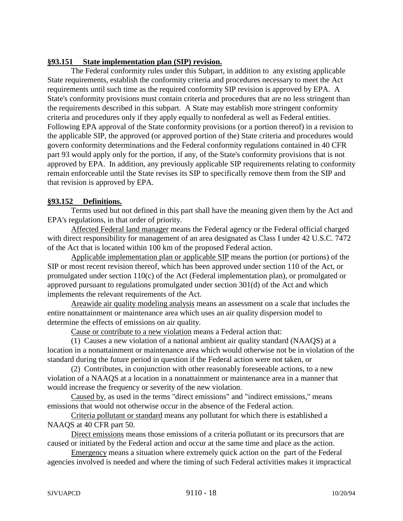# **§93.151 State implementation plan (SIP) revision.**

The Federal conformity rules under this Subpart, in addition to any existing applicable State requirements, establish the conformity criteria and procedures necessary to meet the Act requirements until such time as the required conformity SIP revision is approved by EPA. A State's conformity provisions must contain criteria and procedures that are no less stringent than the requirements described in this subpart. A State may establish more stringent conformity criteria and procedures only if they apply equally to nonfederal as well as Federal entities. Following EPA approval of the State conformity provisions (or a portion thereof) in a revision to the applicable SIP, the approved (or approved portion of the) State criteria and procedures would govern conformity determinations and the Federal conformity regulations contained in 40 CFR part 93 would apply only for the portion, if any, of the State's conformity provisions that is not approved by EPA. In addition, any previously applicable SIP requirements relating to conformity remain enforceable until the State revises its SIP to specifically remove them from the SIP and that revision is approved by EPA.

# **§93.152 Definitions.**

Terms used but not defined in this part shall have the meaning given them by the Act and EPA's regulations, in that order of priority.

 Affected Federal land manager means the Federal agency or the Federal official charged with direct responsibility for management of an area designated as Class I under 42 U.S.C. 7472 of the Act that is located within 100 km of the proposed Federal action.

Applicable implementation plan or applicable SIP means the portion (or portions) of the SIP or most recent revision thereof, which has been approved under section 110 of the Act, or promulgated under section 110(c) of the Act (Federal implementation plan), or promulgated or approved pursuant to regulations promulgated under section 301(d) of the Act and which implements the relevant requirements of the Act.

Areawide air quality modeling analysis means an assessment on a scale that includes the entire nonattainment or maintenance area which uses an air quality dispersion model to determine the effects of emissions on air quality.

Cause or contribute to a new violation means a Federal action that:

(1) Causes a new violation of a national ambient air quality standard (NAAQS) at a location in a nonattainment or maintenance area which would otherwise not be in violation of the standard during the future period in question if the Federal action were not taken, or

(2) Contributes, in conjunction with other reasonably foreseeable actions, to a new violation of a NAAQS at a location in a nonattainment or maintenance area in a manner that would increase the frequency or severity of the new violation.

 Caused by, as used in the terms "direct emissions" and "indirect emissions," means emissions that would not otherwise occur in the absence of the Federal action.

Criteria pollutant or standard means any pollutant for which there is established a NAAQS at 40 CFR part 50.

Direct emissions means those emissions of a criteria pollutant or its precursors that are caused or initiated by the Federal action and occur at the same time and place as the action.

Emergency means a situation where extremely quick action on the part of the Federal agencies involved is needed and where the timing of such Federal activities makes it impractical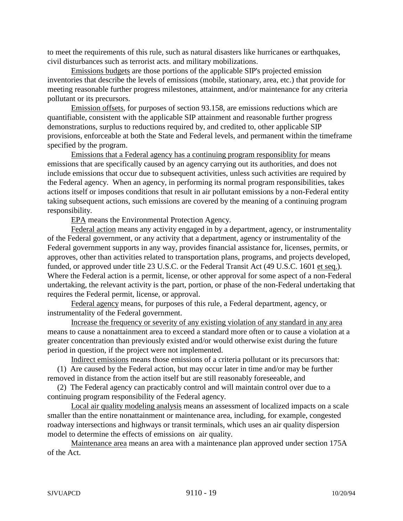to meet the requirements of this rule, such as natural disasters like hurricanes or earthquakes, civil disturbances such as terrorist acts. and military mobilizations.

Emissions budgets are those portions of the applicable SIP's projected emission inventories that describe the levels of emissions (mobile, stationary, area, etc.) that provide for meeting reasonable further progress milestones, attainment, and/or maintenance for any criteria pollutant or its precursors.

Emission offsets, for purposes of section 93.158, are emissions reductions which are quantifiable, consistent with the applicable SIP attainment and reasonable further progress demonstrations, surplus to reductions required by, and credited to, other applicable SIP provisions, enforceable at both the State and Federal levels, and permanent within the timeframe specified by the program.

Emissions that a Federal agency has a continuing program responsiblity for means emissions that are specifically caused by an agency carrying out its authorities, and does not include emissions that occur due to subsequent activities, unless such activities are required by the Federal agency. When an agency, in performing its normal program responsibilities, takes actions itself or imposes conditions that result in air pollutant emissions by a non-Federal entity taking subsequent actions, such emissions are covered by the meaning of a continuing program responsibility.

EPA means the Environmental Protection Agency.

Federal action means any activity engaged in by a department, agency, or instrumentality of the Federal government, or any activity that a department, agency or instrumentality of the Federal government supports in any way, provides financial assistance for, licenses, permits, or approves, other than activities related to transportation plans, programs, and projects developed, funded, or approved under title 23 U.S.C. or the Federal Transit Act (49 U.S.C. 1601 et seq.). Where the Federal action is a permit, license, or other approval for some aspect of a non-Federal undertaking, the relevant activity is the part, portion, or phase of the non-Federal undertaking that requires the Federal permit, license, or approval.

Federal agency means, for purposes of this rule, a Federal department, agency, or instrumentality of the Federal government.

Increase the frequency or severity of any existing violation of any standard in any area means to cause a nonattainment area to exceed a standard more often or to cause a violation at a greater concentration than previously existed and/or would otherwise exist during the future period in question, if the project were not implemented.

Indirect emissions means those emissions of a criteria pollutant or its precursors that: (1) Are caused by the Federal action, but may occur later in time and/or may be further removed in distance from the action itself but are still reasonably foreseeable, and

 (2) The Federal agency can practicably control and will maintain control over due to a continuing program responsibility of the Federal agency.

Local air quality modeling analysis means an assessment of localized impacts on a scale smaller than the entire nonattainment or maintenance area, including, for example, congested roadway intersections and highways or transit terminals, which uses an air quality dispersion model to determine the effects of emissions on air quality.

Maintenance area means an area with a maintenance plan approved under section 175A of the Act.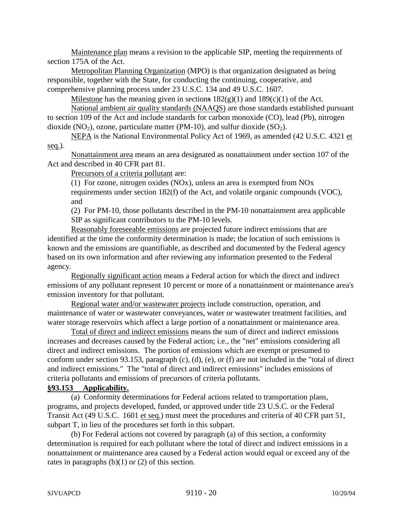Maintenance plan means a revision to the applicable SIP, meeting the requirements of section 175A of the Act.

Metropolitan Planning Organization (MPO) is that organization designated as being responsible, together with the State, for conducting the continuing, cooperative, and comprehensive planning process under 23 U.S.C. 134 and 49 U.S.C. 1607.

Milestone has the meaning given in section**s** 182(g)(1) and 189(c)(1) of the Act.

National ambient air quality standards (NAAQS) are those standards established pursuant to section 109 of the Act and include standards for carbon monoxide (CO), lead (Pb), nitrogen dioxide (NO<sub>2</sub>), ozone, particulate matter (PM-10), and sulfur dioxide (SO<sub>2</sub>).

NEPA is the National Environmental Policy Act of 1969, as amended (42 U.S.C. 4321 et seq.).

Nonattainment area means an area designated as nonattainment under section 107 of the Act and described in 40 CFR part 81.

Precursors of a criteria pollutant are:

(1) For ozone, nitrogen oxides (NOx), unless an area is exempted from NOx requirements under section 182(f) of the Act, and volatile organic compounds (VOC), and

(2) For PM-10, those pollutants described in the PM-10 nonattainment area applicable SIP as significant contributors to the PM-10 levels.

Reasonably foreseeable emissions are projected future indirect emissions that are identified at the time the conformity determination is made; the location of such emissions is known and the emissions are quantifiable, as described and documented by the Federal agency based on its own information and after reviewing any information presented to the Federal agency.

Regionally significant action means a Federal action for which the direct and indirect emissions of any pollutant represent 10 percent or more of a nonattainment or maintenance area's emission inventory for that pollutant.

Regional water and/or wastewater projects include construction, operation, and maintenance of water or wastewater conveyances, water or wastewater treatment facilities, and water storage reservoirs which affect a large portion of a nonattainment or maintenance area.

Total of direct and indirect emissions means the sum of direct and indirect emissions increases and decreases caused by the Federal action; i.e., the "net" emissions considering all direct and indirect emissions. The portion of emissions which are exempt or presumed to conform under section 93.153, paragraph (c), (d), (e), or (f) are not included in the "total of direct and indirect emissions." The "total of direct and indirect emissions" includes emissions of criteria pollutants and emissions of precursors of criteria pollutants.

### **§93.153 Applicability.**

(a) Conformity determinations for Federal actions related to transportation plans, programs, and projects developed, funded, or approved under title 23 U.S.C. or the Federal Transit Act (49 U.S.C. 1601 et seq.) must meet the procedures and criteria of 40 CFR part 51, subpart T, in lieu of the procedures set forth in this subpart.

(b) For Federal actions not covered by paragraph (a) of this section, a conformity determination is required for each pollutant where the total of direct and indirect emissions in a nonattainment or maintenance area caused by a Federal action would equal or exceed any of the rates in paragraphs  $(b)(1)$  or  $(2)$  of this section.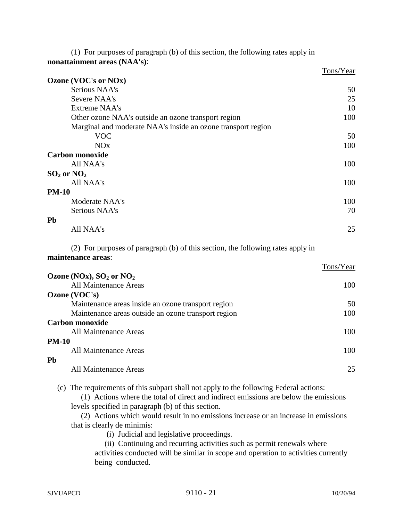(1) For purposes of paragraph (b) of this section, the following rates apply in **nonattainment areas (NAA's)**:

|                                                              | Tons/Year |
|--------------------------------------------------------------|-----------|
| Ozone (VOC's or NOx)                                         |           |
| Serious NAA's                                                | 50        |
| Severe NAA's                                                 | 25        |
| <b>Extreme NAA's</b>                                         | 10        |
| Other ozone NAA's outside an ozone transport region          | 100       |
| Marginal and moderate NAA's inside an ozone transport region |           |
| <b>VOC</b>                                                   | 50        |
| <b>NO<sub>x</sub></b>                                        | 100       |
| <b>Carbon monoxide</b>                                       |           |
| All NAA's                                                    | 100       |
| $SO_2$ or $NO_2$                                             |           |
| All NAA's                                                    | 100       |
| <b>PM-10</b>                                                 |           |
| Moderate NAA's                                               | 100       |
| Serious NAA's                                                | 70        |
| Pb                                                           |           |
| All NAA's                                                    | 25        |
|                                                              |           |

(2) For purposes of paragraph (b) of this section, the following rates apply in **maintenance areas**:

|                                                     | Tons/Year |
|-----------------------------------------------------|-----------|
| Ozone (NOx), $SO_2$ or $NO_2$                       |           |
| All Maintenance Areas                               | 100       |
| Ozone (VOC's)                                       |           |
| Maintenance areas inside an ozone transport region  | 50        |
| Maintenance areas outside an ozone transport region | 100       |
| Carbon monoxide                                     |           |
| All Maintenance Areas                               | 100       |
| <b>PM-10</b>                                        |           |
| All Maintenance Areas                               | 100       |
| <b>Pb</b>                                           |           |
| All Maintenance Areas                               | 25        |

(c) The requirements of this subpart shall not apply to the following Federal actions:

 (1) Actions where the total of direct and indirect emissions are below the emissions levels specified in paragraph (b) of this section.

 (2) Actions which would result in no emissions increase or an increase in emissions that is clearly de minimis:

(i) Judicial and legislative proceedings.

(ii) Continuing and recurring activities such as permit renewals where

activities conducted will be similar in scope and operation to activities currently being conducted.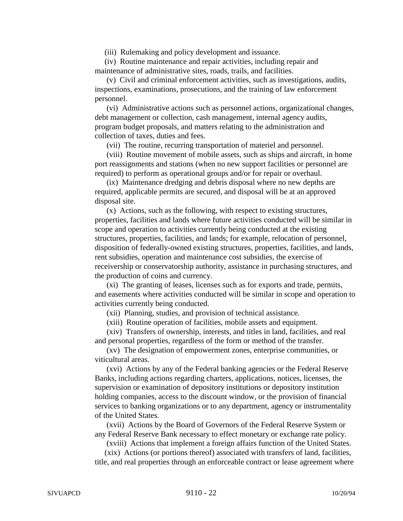(iii) Rulemaking and policy development and issuance.

 (iv) Routine maintenance and repair activities, including repair and maintenance of administrative sites, roads, trails, and facilities.

(v) Civil and criminal enforcement activities, such as investigations, audits, inspections, examinations, prosecutions, and the training of law enforcement personnel.

(vi) Administrative actions such as personnel actions, organizational changes, debt management or collection, cash management, internal agency audits, program budget proposals, and matters relating to the administration and collection of taxes, duties and fees.

(vii) The routine, recurring transportation of materiel and personnel.

(viii) Routine movement of mobile assets, such as ships and aircraft, in home port reassignments and stations (when no new support facilities or personnel are required) to perform as operational groups and/or for repair or overhaul.

(ix) Maintenance dredging and debris disposal where no new depths are required, applicable permits are secured, and disposal will be at an approved disposal site.

(x) Actions, such as the following, with respect to existing structures, properties, facilities and lands where future activities conducted will be similar in scope and operation to activities currently being conducted at the existing structures, properties, facilities, and lands; for example, relocation of personnel, disposition of federally-owned existing structures, properties, facilities, and lands, rent subsidies, operation and maintenance cost subsidies, the exercise of receivership or conservatorship authority, assistance in purchasing structures, and the production of coins and currency.

(xi) The granting of leases, licenses such as for exports and trade, permits, and easements where activities conducted will be similar in scope and operation to activities currently being conducted.

(xii) Planning, studies, and provision of technical assistance.

(xiii) Routine operation of facilities, mobile assets and equipment.

(xiv) Transfers of ownership, interests, and titles in land, facilities, and real and personal properties, regardless of the form or method of the transfer.

(xv) The designation of empowerment zones, enterprise communities, or viticultural areas.

(xvi) Actions by any of the Federal banking agencies or the Federal Reserve Banks, including actions regarding charters, applications, notices, licenses, the supervision or examination of depository institutions or depository institution holding companies, access to the discount window, or the provision of financial services to banking organizations or to any department, agency or instrumentality of the United States.

 (xvii) Actions by the Board of Governors of the Federal Reserve System or any Federal Reserve Bank necessary to effect monetary or exchange rate policy.

(xviii) Actions that implement a foreign affairs function of the United States.

 (xix) Actions (or portions thereof) associated with transfers of land, facilities, title, and real properties through an enforceable contract or lease agreement where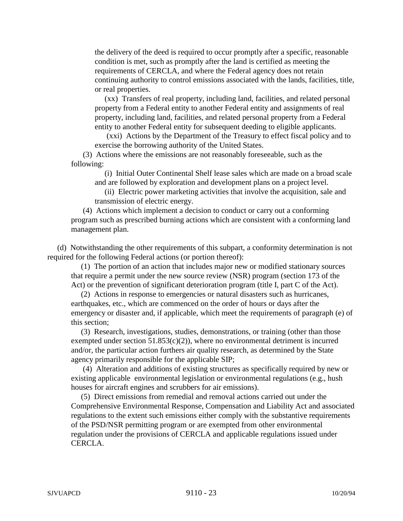the delivery of the deed is required to occur promptly after a specific, reasonable condition is met, such as promptly after the land is certified as meeting the requirements of CERCLA, and where the Federal agency does not retain continuing authority to control emissions associated with the lands, facilities, title, or real properties.

 (xx) Transfers of real property, including land, facilities, and related personal property from a Federal entity to another Federal entity and assignments of real property, including land, facilities, and related personal property from a Federal entity to another Federal entity for subsequent deeding to eligible applicants.

(xxi) Actions by the Department of the Treasury to effect fiscal policy and to exercise the borrowing authority of the United States.

 (3) Actions where the emissions are not reasonably foreseeable, such as the following:

 (i) Initial Outer Continental Shelf lease sales which are made on a broad scale and are followed by exploration and development plans on a project level.

 (ii) Electric power marketing activities that involve the acquisition, sale and transmission of electric energy.

 (4) Actions which implement a decision to conduct or carry out a conforming program such as prescribed burning actions which are consistent with a conforming land management plan.

 (d) Notwithstanding the other requirements of this subpart, a conformity determination is not required for the following Federal actions (or portion thereof):

 (1) The portion of an action that includes major new or modified stationary sources that require a permit under the new source review (NSR) program (section 173 of the Act) or the prevention of significant deterioration program (title I, part C of the Act).

 (2) Actions in response to emergencies or natural disasters such as hurricanes, earthquakes, etc., which are commenced on the order of hours or days after the emergency or disaster and, if applicable, which meet the requirements of paragraph (e) of this section;

 (3) Research, investigations, studies, demonstrations, or training (other than those exempted under section  $51.853(c)(2)$ , where no environmental detriment is incurred and/or, the particular action furthers air quality research, as determined by the State agency primarily responsible for the applicable SIP;

(4) Alteration and additions of existing structures as specifically required by new or existing applicable environmental legislation or environmental regulations (e.g., hush houses for aircraft engines and scrubbers for air emissions).

 (5) Direct emissions from remedial and removal actions carried out under the Comprehensive Environmental Response, Compensation and Liability Act and associated regulations to the extent such emissions either comply with the substantive requirements of the PSD/NSR permitting program or are exempted from other environmental regulation under the provisions of CERCLA and applicable regulations issued under CERCLA.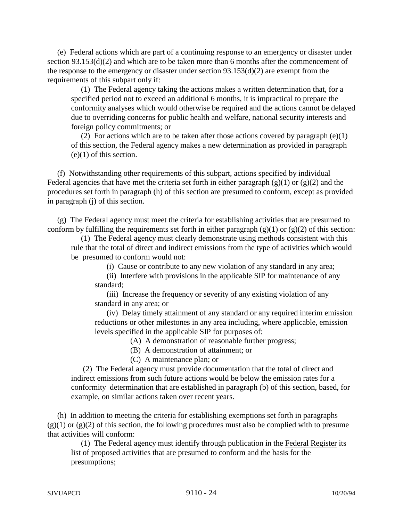(e) Federal actions which are part of a continuing response to an emergency or disaster under section 93.153(d)(2) and which are to be taken more than 6 months after the commencement of the response to the emergency or disaster under section 93.153(d)(2) are exempt from the requirements of this subpart only if:

 (1) The Federal agency taking the actions makes a written determination that, for a specified period not to exceed an additional 6 months, it is impractical to prepare the conformity analyses which would otherwise be required and the actions cannot be delayed due to overriding concerns for public health and welfare, national security interests and foreign policy commitments; or

 (2) For actions which are to be taken after those actions covered by paragraph (e)(1) of this section, the Federal agency makes a new determination as provided in paragraph  $(e)(1)$  of this section.

 (f) Notwithstanding other requirements of this subpart, actions specified by individual Federal agencies that have met the criteria set forth in either paragraph  $(g)(1)$  or  $(g)(2)$  and the procedures set forth in paragraph (h) of this section are presumed to conform, except as provided in paragraph (j) of this section.

 (g) The Federal agency must meet the criteria for establishing activities that are presumed to conform by fulfilling the requirements set forth in either paragraph  $(g)(1)$  or  $(g)(2)$  of this section:

 (1) The Federal agency must clearly demonstrate using methods consistent with this rule that the total of direct and indirect emissions from the type of activities which would be presumed to conform would not:

(i) Cause or contribute to any new violation of any standard in any area;

(ii) Interfere with provisions in the applicable SIP for maintenance of any standard;

(iii) Increase the frequency or severity of any existing violation of any standard in any area; or

(iv) Delay timely attainment of any standard or any required interim emission reductions or other milestones in any area including, where applicable, emission levels specified in the applicable SIP for purposes of:

(A) A demonstration of reasonable further progress;

(B) A demonstration of attainment; or

(C) A maintenance plan; or

(2) The Federal agency must provide documentation that the total of direct and indirect emissions from such future actions would be below the emission rates for a conformity determination that are established in paragraph (b) of this section, based, for example, on similar actions taken over recent years.

 (h) In addition to meeting the criteria for establishing exemptions set forth in paragraphs  $(g)(1)$  or  $(g)(2)$  of this section, the following procedures must also be complied with to presume that activities will conform:

 (1) The Federal agency must identify through publication in the Federal Register its list of proposed activities that are presumed to conform and the basis for the presumptions;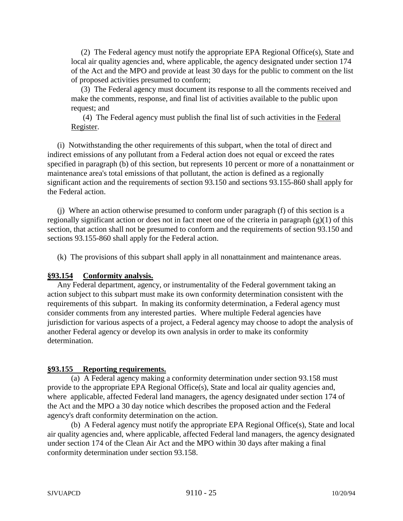(2) The Federal agency must notify the appropriate EPA Regional Office(s), State and local air quality agencies and, where applicable, the agency designated under section 174 of the Act and the MPO and provide at least 30 days for the public to comment on the list of proposed activities presumed to conform;

 (3) The Federal agency must document its response to all the comments received and make the comments, response, and final list of activities available to the public upon request; and

(4) The Federal agency must publish the final list of such activities in the Federal Register.

 (i) Notwithstanding the other requirements of this subpart, when the total of direct and indirect emissions of any pollutant from a Federal action does not equal or exceed the rates specified in paragraph (b) of this section, but represents 10 percent or more of a nonattainment or maintenance area's total emissions of that pollutant, the action is defined as a regionally significant action and the requirements of section 93.150 and sections 93.155-860 shall apply for the Federal action.

 (j) Where an action otherwise presumed to conform under paragraph (f) of this section is a regionally significant action or does not in fact meet one of the criteria in paragraph (g)(1) of this section, that action shall not be presumed to conform and the requirements of section 93.150 and sections 93.155-860 shall apply for the Federal action.

(k) The provisions of this subpart shall apply in all nonattainment and maintenance areas.

### **§93.154 Conformity analysis.**

 Any Federal department, agency, or instrumentality of the Federal government taking an action subject to this subpart must make its own conformity determination consistent with the requirements of this subpart. In making its conformity determination, a Federal agency must consider comments from any interested parties. Where multiple Federal agencies have jurisdiction for various aspects of a project, a Federal agency may choose to adopt the analysis of another Federal agency or develop its own analysis in order to make its conformity determination.

# **§93.155 Reporting requirements.**

(a) A Federal agency making a conformity determination under section 93.158 must provide to the appropriate EPA Regional Office(s), State and local air quality agencies and, where applicable, affected Federal land managers, the agency designated under section 174 of the Act and the MPO a 30 day notice which describes the proposed action and the Federal agency's draft conformity determination on the action.

(b) A Federal agency must notify the appropriate EPA Regional Office(s), State and local air quality agencies and, where applicable, affected Federal land managers, the agency designated under section 174 of the Clean Air Act and the MPO within 30 days after making a final conformity determination under section 93.158.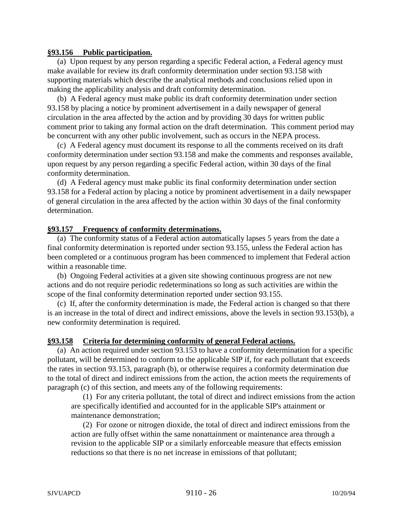#### **§93.156 Public participation.**

 (a) Upon request by any person regarding a specific Federal action, a Federal agency must make available for review its draft conformity determination under section 93.158 with supporting materials which describe the analytical methods and conclusions relied upon in making the applicability analysis and draft conformity determination.

 (b) A Federal agency must make public its draft conformity determination under section 93.158 by placing a notice by prominent advertisement in a daily newspaper of general circulation in the area affected by the action and by providing 30 days for written public comment prior to taking any formal action on the draft determination. This comment period may be concurrent with any other public involvement, such as occurs in the NEPA process.

 (c) A Federal agency must document its response to all the comments received on its draft conformity determination under section 93.158 and make the comments and responses available, upon request by any person regarding a specific Federal action, within 30 days of the final conformity determination.

 (d) A Federal agency must make public its final conformity determination under section 93.158 for a Federal action by placing a notice by prominent advertisement in a daily newspaper of general circulation in the area affected by the action within 30 days of the final conformity determination.

### **§93.157 Frequency of conformity determinations.**

 (a) The conformity status of a Federal action automatically lapses 5 years from the date a final conformity determination is reported under section 93.155, unless the Federal action has been completed or a continuous program has been commenced to implement that Federal action within a reasonable time.

 (b) Ongoing Federal activities at a given site showing continuous progress are not new actions and do not require periodic redeterminations so long as such activities are within the scope of the final conformity determination reported under section 93.155.

 (c) If, after the conformity determination is made, the Federal action is changed so that there is an increase in the total of direct and indirect emissions, above the levels in section 93.153(b), a new conformity determination is required.

### **§93.158 Criteria for determining conformity of general Federal actions.**

 (a) An action required under section 93.153 to have a conformity determination for a specific pollutant, will be determined to conform to the applicable SIP if, for each pollutant that exceeds the rates in section 93.153, paragraph (b), or otherwise requires a conformity determination due to the total of direct and indirect emissions from the action, the action meets the requirements of paragraph (c) of this section, and meets any of the following requirements:

 (1) For any criteria pollutant, the total of direct and indirect emissions from the action are specifically identified and accounted for in the applicable SIP's attainment or maintenance demonstration;

(2) For ozone or nitrogen dioxide, the total of direct and indirect emissions from the action are fully offset within the same nonattainment or maintenance area through a revision to the applicable SIP or a similarly enforceable measure that effects emission reductions so that there is no net increase in emissions of that pollutant;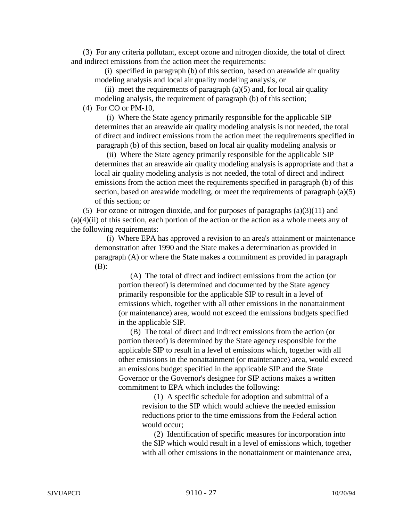(3) For any criteria pollutant, except ozone and nitrogen dioxide, the total of direct and indirect emissions from the action meet the requirements:

 (i) specified in paragraph (b) of this section, based on areawide air quality modeling analysis and local air quality modeling analysis, or

(ii) meet the requirements of paragraph  $(a)(5)$  and, for local air quality modeling analysis, the requirement of paragraph (b) of this section;

(4) For CO or PM-10,

(i) Where the State agency primarily responsible for the applicable SIP determines that an areawide air quality modeling analysis is not needed, the total of direct and indirect emissions from the action meet the requirements specified in paragraph (b) of this section, based on local air quality modeling analysis or

(ii) Where the State agency primarily responsible for the applicable SIP determines that an areawide air quality modeling analysis is appropriate and that a local air quality modeling analysis is not needed, the total of direct and indirect emissions from the action meet the requirements specified in paragraph (b) of this section, based on areawide modeling, or meet the requirements of paragraph (a)(5) of this section; or

(5) For ozone or nitrogen dioxide, and for purposes of paragraphs  $(a)(3)(11)$  and  $(a)(4)(ii)$  of this section, each portion of the action or the action as a whole meets any of the following requirements:

(i) Where EPA has approved a revision to an area's attainment or maintenance demonstration after 1990 and the State makes a determination as provided in paragraph (A) or where the State makes a commitment as provided in paragraph (B):

(A) The total of direct and indirect emissions from the action (or portion thereof) is determined and documented by the State agency primarily responsible for the applicable SIP to result in a level of emissions which, together with all other emissions in the nonattainment (or maintenance) area, would not exceed the emissions budgets specified in the applicable SIP.

(B) The total of direct and indirect emissions from the action (or portion thereof) is determined by the State agency responsible for the applicable SIP to result in a level of emissions which, together with all other emissions in the nonattainment (or maintenance) area, would exceed an emissions budget specified in the applicable SIP and the State Governor or the Governor's designee for SIP actions makes a written commitment to EPA which includes the following:

> (1) A specific schedule for adoption and submittal of a revision to the SIP which would achieve the needed emission reductions prior to the time emissions from the Federal action would occur;

(2) Identification of specific measures for incorporation into the SIP which would result in a level of emissions which, together with all other emissions in the nonattainment or maintenance area,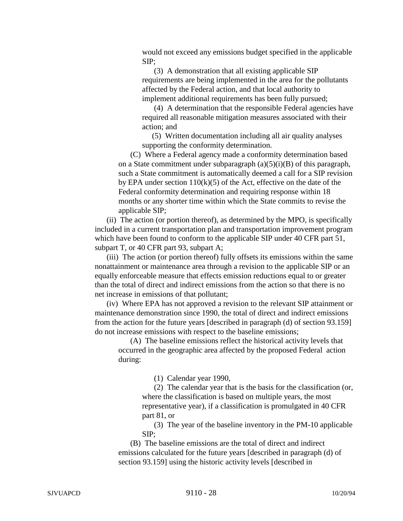would not exceed any emissions budget specified in the applicable SIP;

(3) A demonstration that all existing applicable SIP requirements are being implemented in the area for the pollutants affected by the Federal action, and that local authority to implement additional requirements has been fully pursued;

(4) A determination that the responsible Federal agencies have required all reasonable mitigation measures associated with their action; and

 (5) Written documentation including all air quality analyses supporting the conformity determination.

(C) Where a Federal agency made a conformity determination based on a State commitment under subparagraph  $(a)(5)(i)(B)$  of this paragraph, such a State commitment is automatically deemed a call for a SIP revision by EPA under section  $110(k)(5)$  of the Act, effective on the date of the Federal conformity determination and requiring response within 18 months or any shorter time within which the State commits to revise the applicable SIP;

(ii) The action (or portion thereof), as determined by the MPO, is specifically included in a current transportation plan and transportation improvement program which have been found to conform to the applicable SIP under 40 CFR part 51, subpart T, or 40 CFR part 93, subpart A;

(iii) The action (or portion thereof) fully offsets its emissions within the same nonattainment or maintenance area through a revision to the applicable SIP or an equally enforceable measure that effects emission reductions equal to or greater than the total of direct and indirect emissions from the action so that there is no net increase in emissions of that pollutant;

(iv) Where EPA has not approved a revision to the relevant SIP attainment or maintenance demonstration since 1990, the total of direct and indirect emissions from the action for the future years [described in paragraph (d) of section 93.159] do not increase emissions with respect to the baseline emissions;

(A) The baseline emissions reflect the historical activity levels that occurred in the geographic area affected by the proposed Federal action during:

(1) Calendar year 1990,

(2) The calendar year that is the basis for the classification (or, where the classification is based on multiple years, the most representative year), if a classification is promulgated in 40 CFR part 81, or

(3) The year of the baseline inventory in the PM-10 applicable SIP;

(B) The baseline emissions are the total of direct and indirect emissions calculated for the future years [described in paragraph (d) of section 93.159] using the historic activity levels [described in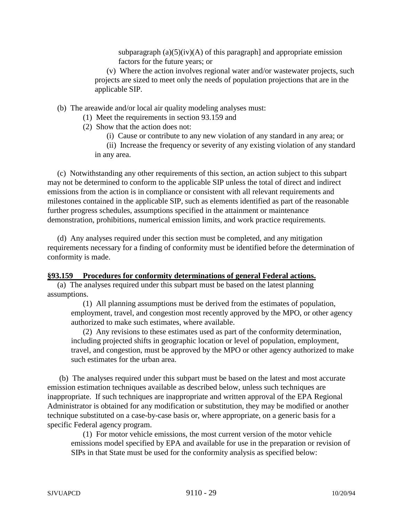subparagraph  $(a)(5)(iv)(A)$  of this paragraph] and appropriate emission factors for the future years; or

(v) Where the action involves regional water and/or wastewater projects, such projects are sized to meet only the needs of population projections that are in the applicable SIP.

(b) The areawide and/or local air quality modeling analyses must:

(1) Meet the requirements in section 93.159 and

(2) Show that the action does not:

(i) Cause or contribute to any new violation of any standard in any area; or

(ii) Increase the frequency or severity of any existing violation of any standard in any area.

 (c) Notwithstanding any other requirements of this section, an action subject to this subpart may not be determined to conform to the applicable SIP unless the total of direct and indirect emissions from the action is in compliance or consistent with all relevant requirements and milestones contained in the applicable SIP, such as elements identified as part of the reasonable further progress schedules, assumptions specified in the attainment or maintenance demonstration, prohibitions, numerical emission limits, and work practice requirements.

 (d) Any analyses required under this section must be completed, and any mitigation requirements necessary for a finding of conformity must be identified before the determination of conformity is made.

#### **§93.159 Procedures for conformity determinations of general Federal actions.**

 (a) The analyses required under this subpart must be based on the latest planning assumptions.

(1) All planning assumptions must be derived from the estimates of population, employment, travel, and congestion most recently approved by the MPO, or other agency authorized to make such estimates, where available.

(2) Any revisions to these estimates used as part of the conformity determination, including projected shifts in geographic location or level of population, employment, travel, and congestion, must be approved by the MPO or other agency authorized to make such estimates for the urban area.

 (b) The analyses required under this subpart must be based on the latest and most accurate emission estimation techniques available as described below, unless such techniques are inappropriate. If such techniques are inappropriate and written approval of the EPA Regional Administrator is obtained for any modification or substitution, they may be modified or another technique substituted on a case-by-case basis or, where appropriate, on a generic basis for a specific Federal agency program.

(1) For motor vehicle emissions, the most current version of the motor vehicle emissions model specified by EPA and available for use in the preparation or revision of SIPs in that State must be used for the conformity analysis as specified below: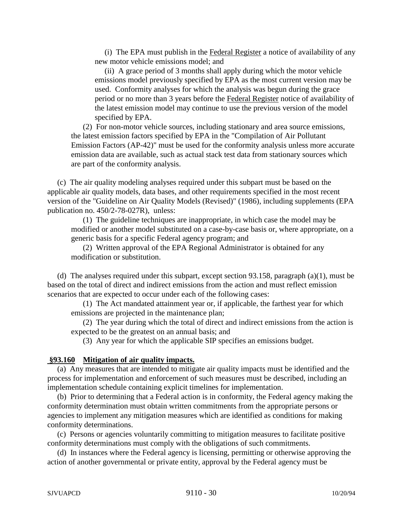(i) The EPA must publish in the Federal Register a notice of availability of any new motor vehicle emissions model; and

 (ii) A grace period of 3 months shall apply during which the motor vehicle emissions model previously specified by EPA as the most current version may be used. Conformity analyses for which the analysis was begun during the grace period or no more than 3 years before the Federal Register notice of availability of the latest emission model may continue to use the previous version of the model specified by EPA.

(2) For non-motor vehicle sources, including stationary and area source emissions, the latest emission factors specified by EPA in the "Compilation of Air Pollutant Emission Factors (AP-42)" must be used for the conformity analysis unless more accurate emission data are available, such as actual stack test data from stationary sources which are part of the conformity analysis.

 (c) The air quality modeling analyses required under this subpart must be based on the applicable air quality models, data bases, and other requirements specified in the most recent version of the "Guideline on Air Quality Models (Revised)" (1986), including supplements (EPA publication no. 450/2-78-027R), unless:

(1) The guideline techniques are inappropriate, in which case the model may be modified or another model substituted on a case-by-case basis or, where appropriate, on a generic basis for a specific Federal agency program; and

(2) Written approval of the EPA Regional Administrator is obtained for any modification or substitution.

 (d) The analyses required under this subpart, except section 93.158, paragraph (a)(1), must be based on the total of direct and indirect emissions from the action and must reflect emission scenarios that are expected to occur under each of the following cases:

(1) The Act mandated attainment year or, if applicable, the farthest year for which emissions are projected in the maintenance plan;

(2) The year during which the total of direct and indirect emissions from the action is expected to be the greatest on an annual basis; and

(3) Any year for which the applicable SIP specifies an emissions budget.

### **§93.160 Mitigation of air quality impacts.**

 (a) Any measures that are intended to mitigate air quality impacts must be identified and the process for implementation and enforcement of such measures must be described, including an implementation schedule containing explicit timelines for implementation.

 (b) Prior to determining that a Federal action is in conformity, the Federal agency making the conformity determination must obtain written commitments from the appropriate persons or agencies to implement any mitigation measures which are identified as conditions for making conformity determinations.

 (c) Persons or agencies voluntarily committing to mitigation measures to facilitate positive conformity determinations must comply with the obligations of such commitments.

 (d) In instances where the Federal agency is licensing, permitting or otherwise approving the action of another governmental or private entity, approval by the Federal agency must be